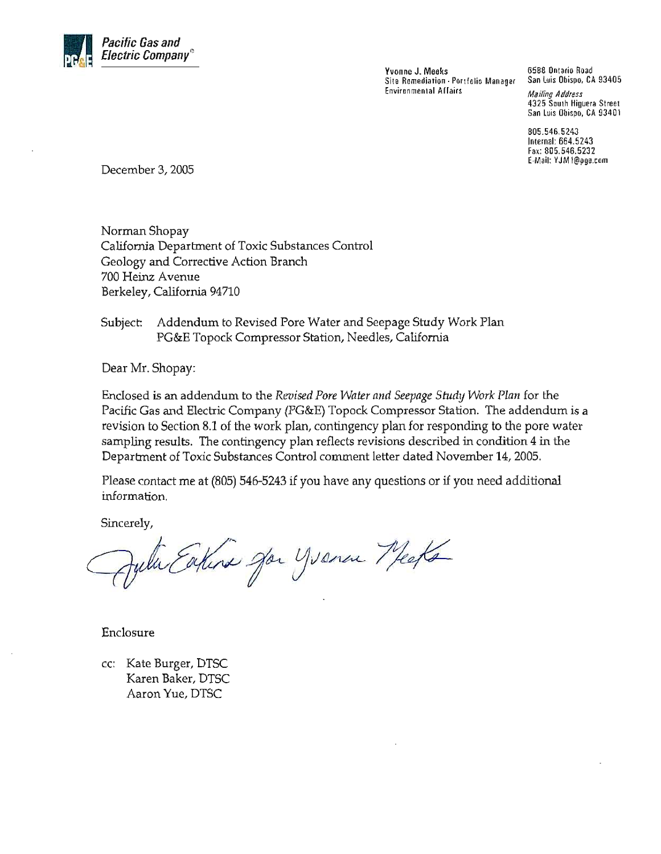

Yvonne J. Meeks Site Remediation - Portfolio Manager **Environmental Affairs** 

6588 Ontario Road San Luis Obispo, CA 93405

**Mailing Address** 4325 South Higuera Street San Luis Obispo, CA 93401

805.546.5243 Internal: 664.5243 Fax: 805.546.5232 E-Mail: YJM1@pge.com

December 3, 2005

Norman Shopay California Department of Toxic Substances Control Geology and Corrective Action Branch 700 Heinz Avenue Berkeley, California 94710

Addendum to Revised Pore Water and Seepage Study Work Plan Subject: PG&E Topock Compressor Station, Needles, California

Dear Mr. Shopay:

Enclosed is an addendum to the Revised Pore Water and Seepage Study Work Plan for the Pacific Gas and Electric Company (PG&E) Topock Compressor Station. The addendum is a revision to Section 8.1 of the work plan, contingency plan for responding to the pore water sampling results. The contingency plan reflects revisions described in condition 4 in the Department of Toxic Substances Control comment letter dated November 14, 2005.

Please contact me at (805) 546-5243 if you have any questions or if you need additional information.

Sincerely,

Juli Eakine Jan Yvenen Meets

Enclosure

cc: Kate Burger, DTSC Karen Baker, DTSC Aaron Yue, DTSC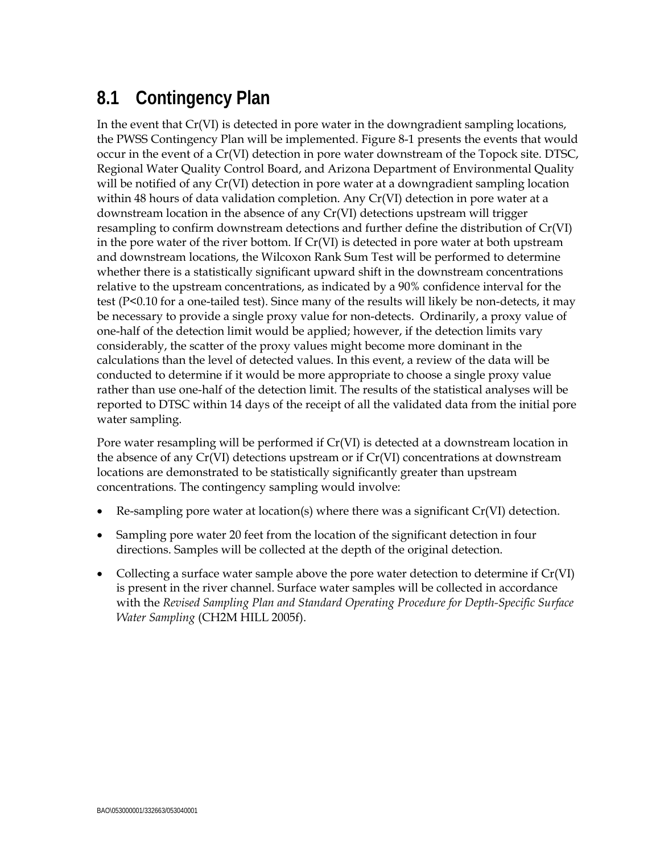## **8.1 Contingency Plan**

In the event that Cr(VI) is detected in pore water in the downgradient sampling locations, the PWSS Contingency Plan will be implemented. Figure 8-1 presents the events that would occur in the event of a Cr(VI) detection in pore water downstream of the Topock site. DTSC, Regional Water Quality Control Board, and Arizona Department of Environmental Quality will be notified of any Cr(VI) detection in pore water at a downgradient sampling location within 48 hours of data validation completion. Any Cr(VI) detection in pore water at a downstream location in the absence of any Cr(VI) detections upstream will trigger resampling to confirm downstream detections and further define the distribution of Cr(VI) in the pore water of the river bottom. If Cr(VI) is detected in pore water at both upstream and downstream locations, the Wilcoxon Rank Sum Test will be performed to determine whether there is a statistically significant upward shift in the downstream concentrations relative to the upstream concentrations, as indicated by a 90% confidence interval for the test (P<0.10 for a one-tailed test). Since many of the results will likely be non-detects, it may be necessary to provide a single proxy value for non-detects. Ordinarily, a proxy value of one-half of the detection limit would be applied; however, if the detection limits vary considerably, the scatter of the proxy values might become more dominant in the calculations than the level of detected values. In this event, a review of the data will be conducted to determine if it would be more appropriate to choose a single proxy value rather than use one-half of the detection limit. The results of the statistical analyses will be reported to DTSC within 14 days of the receipt of all the validated data from the initial pore water sampling.

Pore water resampling will be performed if Cr(VI) is detected at a downstream location in the absence of any  $Cr(VI)$  detections upstream or if  $Cr(VI)$  concentrations at downstream locations are demonstrated to be statistically significantly greater than upstream concentrations. The contingency sampling would involve:

- Re-sampling pore water at location(s) where there was a significant  $Cr(VI)$  detection.
- Sampling pore water 20 feet from the location of the significant detection in four directions. Samples will be collected at the depth of the original detection.
- Collecting a surface water sample above the pore water detection to determine if  $Cr(VI)$ is present in the river channel. Surface water samples will be collected in accordance with the *Revised Sampling Plan and Standard Operating Procedure for Depth-Specific Surface Water Sampling* (CH2M HILL 2005f).